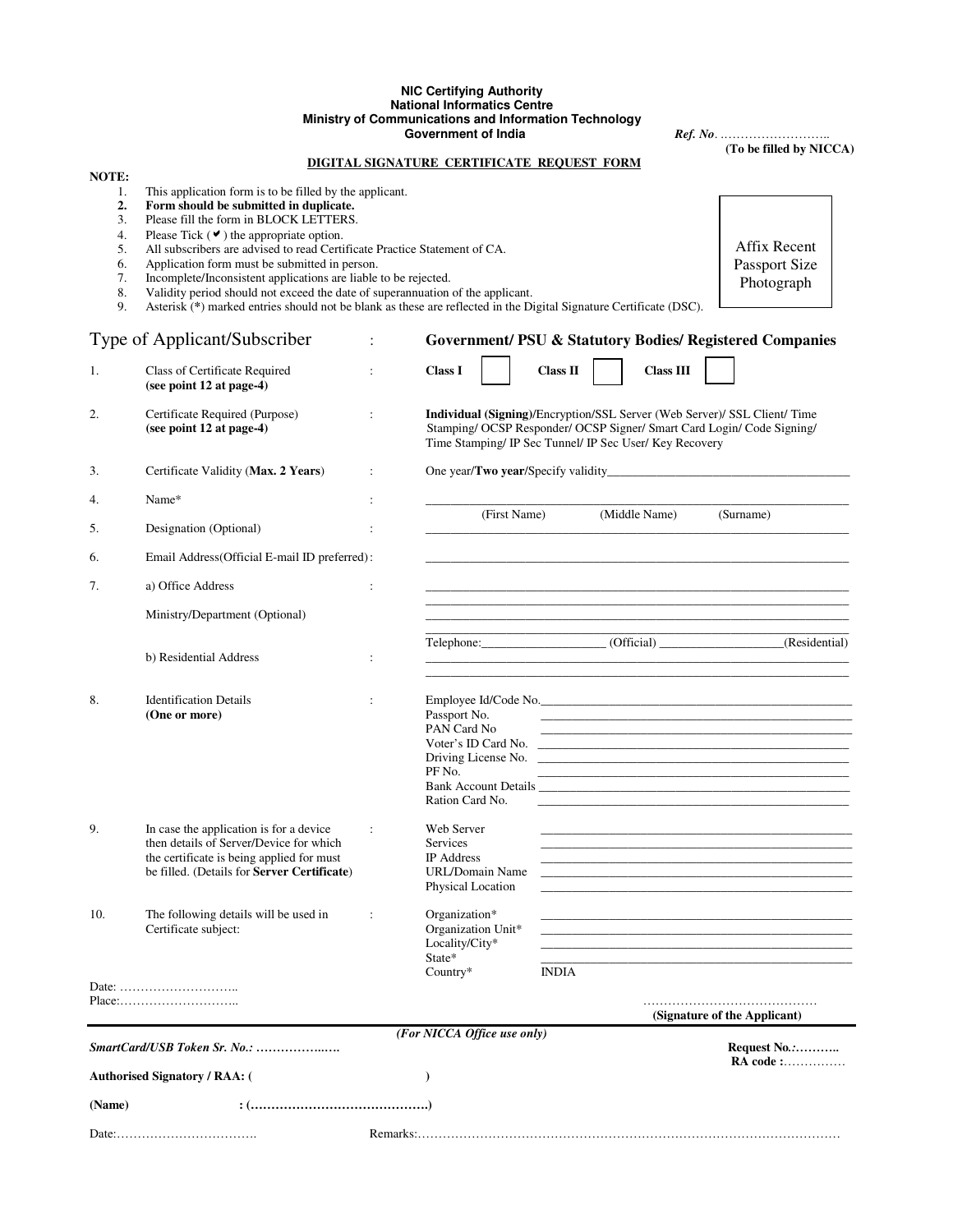# **NIC Certifying Authority National Informatics Centre Ministry of Communications and Information Technology**

 **Government of India** *Ref. No*. .…………………….. **(To be filled by NICCA)** 

> Affix Recent Passport Size Photograph

#### **NOTE:**

1. This application form is to be filled by the applicant.<br>2. Form should be submitted in duplicate.

- **2.** Form should be submitted in duplicate.<br> **3.** Please fill the form in BLOCK LETTERS.
- 3. Please fill the form in BLOCK LETTERS.<br>4. Please Tick  $($  $\blacktriangleright$  the appropriate option.
- 4. Please Tick  $(\vee)$  the appropriate option.
- 5. All subscribers are advised to read Certificate Practice Statement of CA.
- 6. Application form must be submitted in person.
- 7. Incomplete/Inconsistent applications are liable to be rejected.
- 8. Validity period should not exceed the date of superannuation of the applicant.
- 9. Asterisk (**\***) marked entries should not be blank as these are reflected in the Digital Signature Certificate (DSC).

| Type of Applicant/Subscriber |                                                                                                                                                                                | $\ddot{\cdot}$       | <b>Government/ PSU &amp; Statutory Bodies/ Registered Companies</b>                                                                                                                                            |                 |  |                  |                                                                                                                                                                                                                               |              |  |  |  |  |  |  |  |  |
|------------------------------|--------------------------------------------------------------------------------------------------------------------------------------------------------------------------------|----------------------|----------------------------------------------------------------------------------------------------------------------------------------------------------------------------------------------------------------|-----------------|--|------------------|-------------------------------------------------------------------------------------------------------------------------------------------------------------------------------------------------------------------------------|--------------|--|--|--|--|--|--|--|--|
| 1.                           | Class of Certificate Required<br>(see point 12 at page-4)                                                                                                                      | $\ddot{\cdot}$       | <b>Class I</b>                                                                                                                                                                                                 | <b>Class II</b> |  | <b>Class III</b> |                                                                                                                                                                                                                               |              |  |  |  |  |  |  |  |  |
| 2.                           | Certificate Required (Purpose)<br>(see point 12 at page-4)                                                                                                                     | $\ddot{\cdot}$       | Individual (Signing)/Encryption/SSL Server (Web Server)/ SSL Client/ Time<br>Stamping/ OCSP Responder/ OCSP Signer/ Smart Card Login/ Code Signing/<br>Time Stamping/ IP Sec Tunnel/ IP Sec User/ Key Recovery |                 |  |                  |                                                                                                                                                                                                                               |              |  |  |  |  |  |  |  |  |
| 3.                           | Certificate Validity (Max. 2 Years)                                                                                                                                            | $\ddot{\cdot}$       |                                                                                                                                                                                                                |                 |  |                  |                                                                                                                                                                                                                               |              |  |  |  |  |  |  |  |  |
| 4.                           | Name*                                                                                                                                                                          | :                    | (First Name)<br>(Middle Name)<br>(Surname)                                                                                                                                                                     |                 |  |                  |                                                                                                                                                                                                                               |              |  |  |  |  |  |  |  |  |
| 5.                           | Designation (Optional)                                                                                                                                                         |                      |                                                                                                                                                                                                                |                 |  |                  |                                                                                                                                                                                                                               |              |  |  |  |  |  |  |  |  |
| 6.                           | Email Address(Official E-mail ID preferred):                                                                                                                                   |                      |                                                                                                                                                                                                                |                 |  |                  |                                                                                                                                                                                                                               |              |  |  |  |  |  |  |  |  |
| 7.                           | a) Office Address                                                                                                                                                              | $\ddot{\cdot}$       | <u> 1989 - Johann Stoff, deutscher Stoff, der Stoff, der Stoff, der Stoff, der Stoff, der Stoff, der Stoff, der S</u>                                                                                          |                 |  |                  |                                                                                                                                                                                                                               |              |  |  |  |  |  |  |  |  |
|                              | Ministry/Department (Optional)                                                                                                                                                 |                      |                                                                                                                                                                                                                |                 |  |                  |                                                                                                                                                                                                                               |              |  |  |  |  |  |  |  |  |
|                              | b) Residential Address                                                                                                                                                         | :                    | Telephone: (Official) (Residential)<br><u> 1989 - Johann Barbara, martin da basar da basar da basar da basar da basar da basar da basar da basar da basa</u>                                                   |                 |  |                  |                                                                                                                                                                                                                               |              |  |  |  |  |  |  |  |  |
| 8.                           | <b>Identification Details</b><br>(One or more)                                                                                                                                 | $\ddot{\phantom{a}}$ | Employee Id/Code No.<br>Passport No.<br>PAN Card No<br>Driving License No.<br>PF No.<br>Ration Card No.                                                                                                        |                 |  |                  | the control of the control of the control of the control of the control of the control of the control of the control of the control of the control of the control of the control of the control of the control of the control |              |  |  |  |  |  |  |  |  |
| 9.                           | In case the application is for a device<br>then details of Server/Device for which<br>the certificate is being applied for must<br>be filled. (Details for Server Certificate) | $\ddot{\cdot}$       | Web Server<br><b>Services</b><br><b>IP</b> Address<br>URL/Domain Name<br>Physical Location                                                                                                                     |                 |  |                  | the control of the control of the control of the control of the control of the control of the control of the control of the control of the control of the control of the control of the control of the control of the control |              |  |  |  |  |  |  |  |  |
| 10.                          | The following details will be used in<br>Certificate subject:                                                                                                                  | $\ddot{\phantom{a}}$ | Organization*<br>Organization Unit*<br>Locality/City*<br>State*<br>$Country*$                                                                                                                                  | <b>INDIA</b>    |  |                  |                                                                                                                                                                                                                               |              |  |  |  |  |  |  |  |  |
|                              | $Place: \ldots \ldots \ldots \ldots \ldots \ldots \ldots \ldots \ldots$                                                                                                        |                      |                                                                                                                                                                                                                |                 |  |                  |                                                                                                                                                                                                                               |              |  |  |  |  |  |  |  |  |
|                              |                                                                                                                                                                                |                      |                                                                                                                                                                                                                |                 |  |                  | (Signature of the Applicant)                                                                                                                                                                                                  |              |  |  |  |  |  |  |  |  |
|                              | SmartCard/USB Token Sr. No.:                                                                                                                                                   |                      | (For NICCA Office use only)                                                                                                                                                                                    |                 |  |                  |                                                                                                                                                                                                                               | Request No.: |  |  |  |  |  |  |  |  |
|                              | <b>Authorised Signatory / RAA: (</b>                                                                                                                                           |                      | $\lambda$                                                                                                                                                                                                      |                 |  |                  |                                                                                                                                                                                                                               |              |  |  |  |  |  |  |  |  |
| (Name)                       | $:(\ldots,\ldots,\ldots,\ldots,\ldots,\ldots,\ldots,\ldots,\ldots,\ldots))$                                                                                                    |                      |                                                                                                                                                                                                                |                 |  |                  |                                                                                                                                                                                                                               |              |  |  |  |  |  |  |  |  |
|                              |                                                                                                                                                                                |                      |                                                                                                                                                                                                                |                 |  |                  |                                                                                                                                                                                                                               |              |  |  |  |  |  |  |  |  |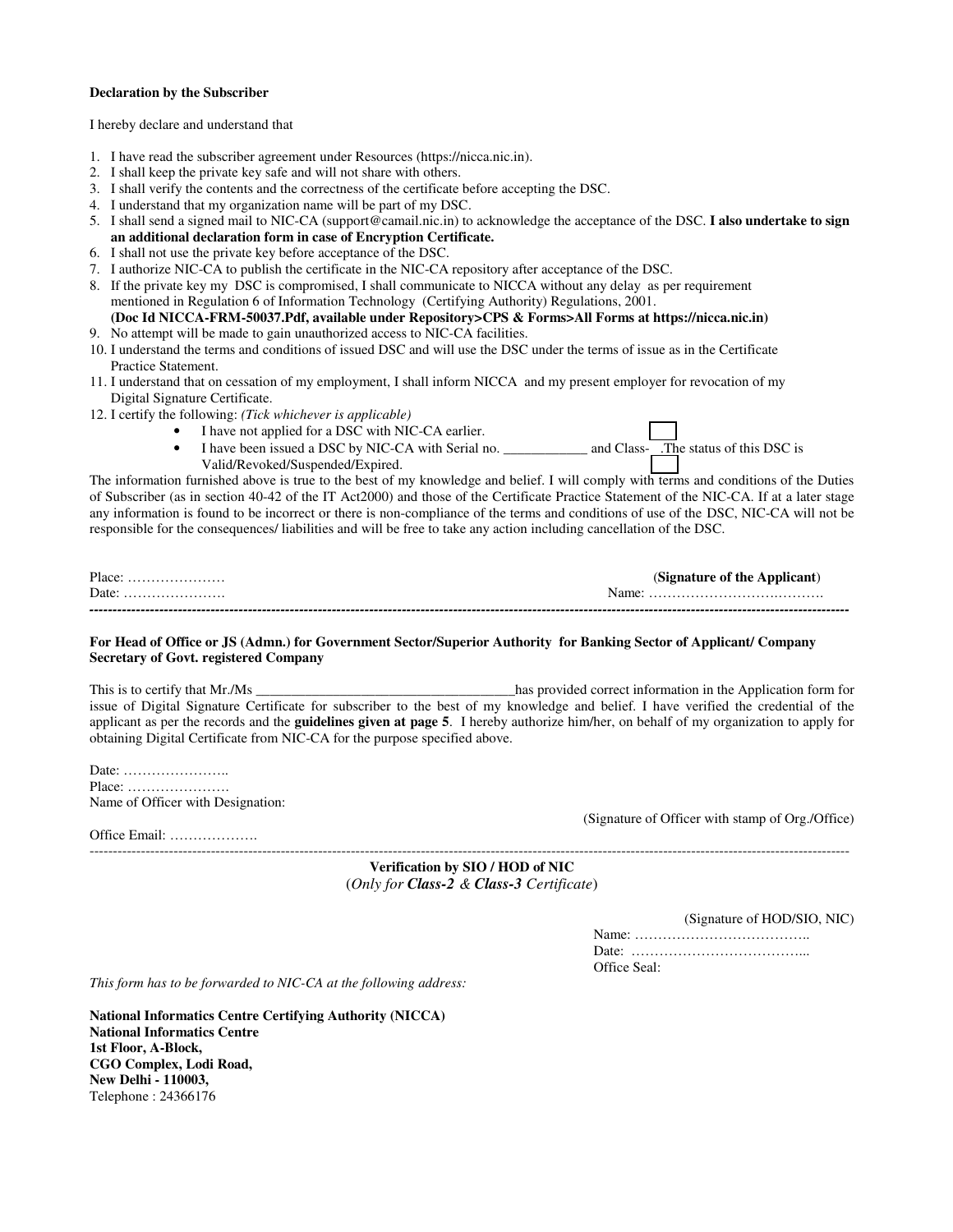### **Declaration by the Subscriber**

I hereby declare and understand that

- 1. I have read the subscriber agreement under Resources (https://nicca.nic.in).
- 2. I shall keep the private key safe and will not share with others.
- 3. I shall verify the contents and the correctness of the certificate before accepting the DSC.
- 4. I understand that my organization name will be part of my DSC.
- 5. I shall send a signed mail to NIC-CA (support@camail.nic.in) to acknowledge the acceptance of the DSC. **I also undertake to sign an additional declaration form in case of Encryption Certificate.**
- 6. I shall not use the private key before acceptance of the DSC.
- 7. I authorize NIC-CA to publish the certificate in the NIC-CA repository after acceptance of the DSC.
- 8. If the private key my DSC is compromised, I shall communicate to NICCA without any delay as per requirement mentioned in Regulation 6 of Information Technology (Certifying Authority) Regulations, 2001.
- **(Doc Id NICCA-FRM-50037.Pdf, available under Repository>CPS & Forms>All Forms at https://nicca.nic.in)** 9. No attempt will be made to gain unauthorized access to NIC-CA facilities.
- 10. I understand the terms and conditions of issued DSC and will use the DSC under the terms of issue as in the Certificate Practice Statement.
- 11. I understand that on cessation of my employment, I shall inform NICCA and my present employer for revocation of my Digital Signature Certificate.
- 12. I certify the following: *(Tick whichever is applicable)* 
	- I have not applied for a DSC with NIC-CA earlier.
		- Fiave hot applied for a BSC with Nic-CA canner.<br>I have been issued a DSC by NIC-CA with Serial no. \_\_\_\_\_\_\_\_\_\_\_\_\_\_\_ and Class- .The status of this DSC is Valid/Revoked/Suspended/Expired.

The information furnished above is true to the best of my knowledge and belief. I will comply with terms and conditions of the Duties of Subscriber (as in section 40-42 of the IT Act2000) and those of the Certificate Practice Statement of the NIC-CA. If at a later stage any information is found to be incorrect or there is non-compliance of the terms and conditions of use of the DSC, NIC-CA will not be responsible for the consequences/ liabilities and will be free to take any action including cancellation of the DSC.

| $Place: \ldots \ldots \ldots \ldots \ldots$       | (Signature of the Applicant) |
|---------------------------------------------------|------------------------------|
| Date: $\dots \dots \dots \dots \dots \dots \dots$ |                              |
|                                                   |                              |

### **For Head of Office or JS (Admn.) for Government Sector/Superior Authority for Banking Sector of Applicant/ Company Secretary of Govt. registered Company**

This is to certify that Mr./Ms **and the Application in the Application form for** the Application form for issue of Digital Signature Certificate for subscriber to the best of my knowledge and belief. I have verified the credential of the applicant as per the records and the **guidelines given at page 5**. I hereby authorize him/her, on behalf of my organization to apply for obtaining Digital Certificate from NIC-CA for the purpose specified above.

Date: ………………….. Place: …………………. Name of Officer with Designation:

Office Email: ……………….

(Signature of Officer with stamp of Org./Office)

------------------------------------------------------------------------------------------------------------------------------------------------------------------- **Verification by SIO / HOD of NIC**  (*Only for Class-2 & Class-3 Certificate*)

(Signature of HOD/SIO, NIC)

Name: ……………………………….. Date: ………………………………... Office Seal:

*This form has to be forwarded to NIC-CA at the following address:*

**National Informatics Centre Certifying Authority (NICCA) National Informatics Centre 1st Floor, A-Block, CGO Complex, Lodi Road, New Delhi - 110003,**  Telephone : 24366176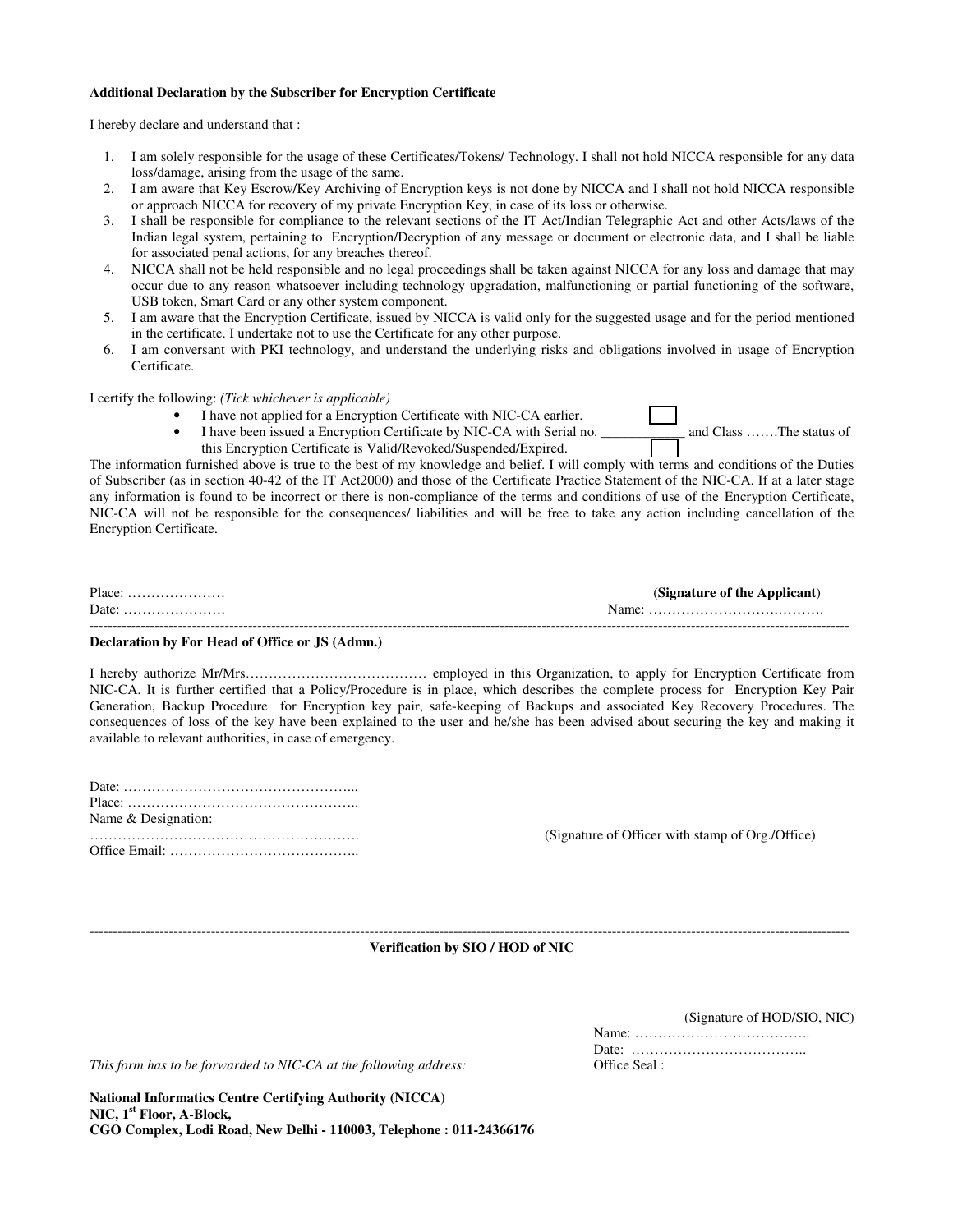### **Additional Declaration by the Subscriber for Encryption Certificate**

I hereby declare and understand that :

- 1. I am solely responsible for the usage of these Certificates/Tokens/ Technology. I shall not hold NICCA responsible for any data loss/damage, arising from the usage of the same.
- 2. I am aware that Key Escrow/Key Archiving of Encryption keys is not done by NICCA and I shall not hold NICCA responsible or approach NICCA for recovery of my private Encryption Key, in case of its loss or otherwise.
- 3. I shall be responsible for compliance to the relevant sections of the IT Act/Indian Telegraphic Act and other Acts/laws of the Indian legal system, pertaining to Encryption/Decryption of any message or document or electronic data, and I shall be liable for associated penal actions, for any breaches thereof.
- 4. NICCA shall not be held responsible and no legal proceedings shall be taken against NICCA for any loss and damage that may occur due to any reason whatsoever including technology upgradation, malfunctioning or partial functioning of the software, USB token, Smart Card or any other system component.
- 5. I am aware that the Encryption Certificate, issued by NICCA is valid only for the suggested usage and for the period mentioned in the certificate. I undertake not to use the Certificate for any other purpose.
- 6. I am conversant with PKI technology, and understand the underlying risks and obligations involved in usage of Encryption Certificate.

I certify the following: *(Tick whichever is applicable)* 

- I have not applied for a Encryption Certificate with NIC-CA earlier.
- I have been issued a Encryption Certificate by NIC-CA with Serial no. \_\_\_\_\_\_\_\_\_\_\_ and Class …….The status of this Encryption Certificate is Valid/Revoked/Suspended/Expired.

The information furnished above is true to the best of my knowledge and belief. I will comply with terms and conditions of the Duties of Subscriber (as in section 40-42 of the IT Act2000) and those of the Certificate Practice Statement of the NIC-CA. If at a later stage any information is found to be incorrect or there is non-compliance of the terms and conditions of use of the Encryption Certificate, NIC-CA will not be responsible for the consequences/ liabilities and will be free to take any action including cancellation of the Encryption Certificate.

| $Place: \ldots \ldots \ldots \ldots \ldots$ | (Signature of the Applicant) |
|---------------------------------------------|------------------------------|
| Date:                                       |                              |
| -------------------------------------       | .                            |

### **Declaration by For Head of Office or JS (Admn.)**

I hereby authorize Mr/Mrs………………………………… employed in this Organization, to apply for Encryption Certificate from NIC-CA. It is further certified that a Policy/Procedure is in place, which describes the complete process for Encryption Key Pair Generation, Backup Procedure for Encryption key pair, safe-keeping of Backups and associated Key Recovery Procedures. The consequences of loss of the key have been explained to the user and he/she has been advised about securing the key and making it available to relevant authorities, in case of emergency.

| Name & Designation: |  |  |  |  |  |  |  |  |  |  |  |  |  |  |  |  |  |
|---------------------|--|--|--|--|--|--|--|--|--|--|--|--|--|--|--|--|--|
|                     |  |  |  |  |  |  |  |  |  |  |  |  |  |  |  |  |  |

…………………………………………………. (Signature of Officer with stamp of Org./Office)

------------------------------------------------------------------------------------------------------------------------------------------------------------------- **Verification by SIO / HOD of NIC** 

(Signature of HOD/SIO, NIC)

Name: ……………………………….. Date: ………………………………..

This form has to be forwarded to NIC-CA at the following address: **Office Seal** :

**National Informatics Centre Certifying Authority (NICCA) NIC, 1st Floor, A-Block, CGO Complex, Lodi Road, New Delhi - 110003, Telephone : 011-24366176**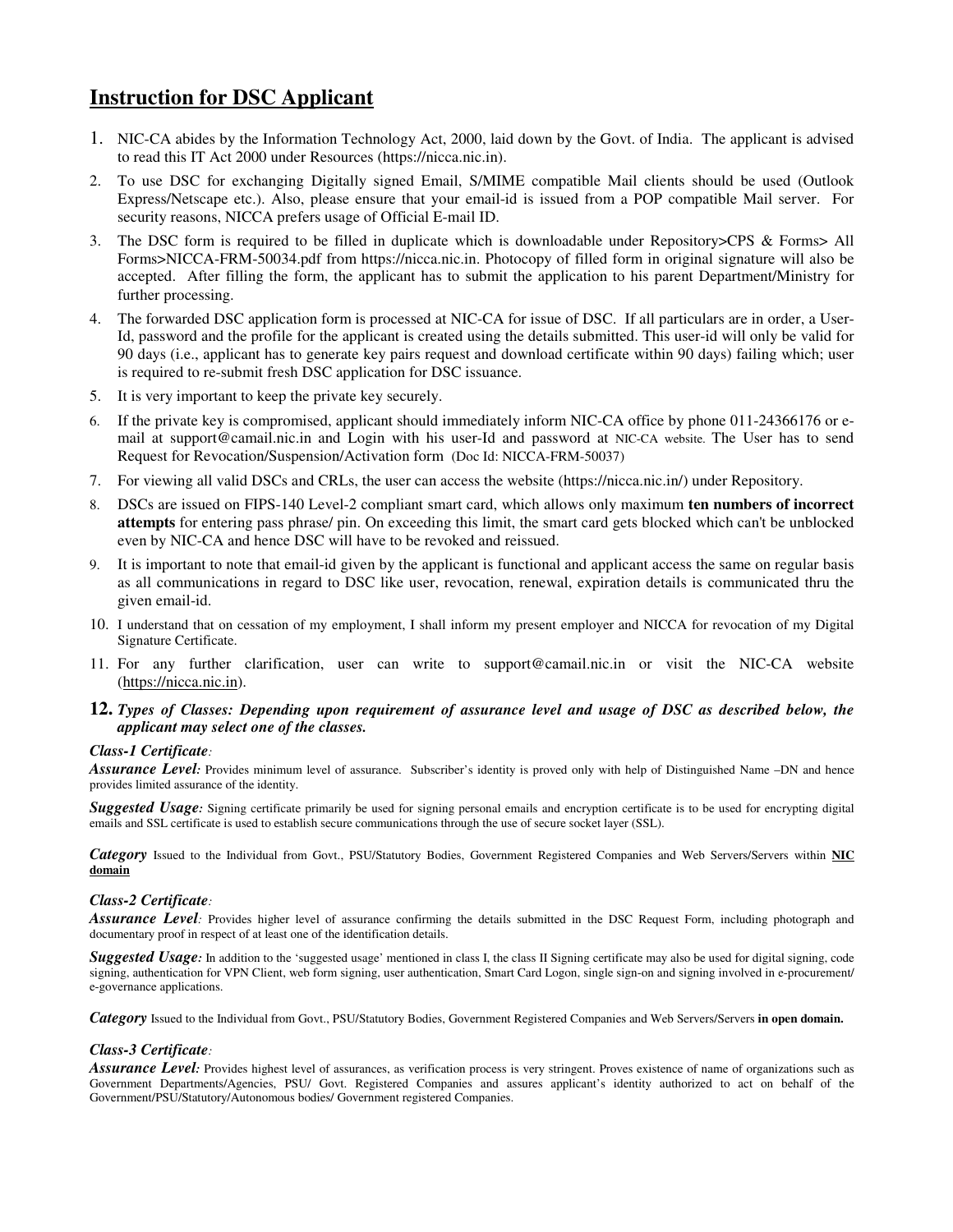# **Instruction for DSC Applicant**

- 1. NIC-CA abides by the Information Technology Act, 2000, laid down by the Govt. of India. The applicant is advised to read this IT Act 2000 under Resources (https://nicca.nic.in).
- 2. To use DSC for exchanging Digitally signed Email, S/MIME compatible Mail clients should be used (Outlook Express/Netscape etc.). Also, please ensure that your email-id is issued from a POP compatible Mail server. For security reasons, NICCA prefers usage of Official E-mail ID.
- 3. The DSC form is required to be filled in duplicate which is downloadable under Repository>CPS & Forms> All Forms>NICCA-FRM-50034.pdf from https://nicca.nic.in. Photocopy of filled form in original signature will also be accepted. After filling the form, the applicant has to submit the application to his parent Department/Ministry for further processing.
- 4. The forwarded DSC application form is processed at NIC-CA for issue of DSC. If all particulars are in order, a User-Id, password and the profile for the applicant is created using the details submitted. This user-id will only be valid for 90 days (i.e., applicant has to generate key pairs request and download certificate within 90 days) failing which; user is required to re-submit fresh DSC application for DSC issuance.
- 5. It is very important to keep the private key securely.
- 6. If the private key is compromised, applicant should immediately inform NIC-CA office by phone 011-24366176 or email at support@camail.nic.in and Login with his user-Id and password at NIC-CA website. The User has to send Request for Revocation/Suspension/Activation form (Doc Id: NICCA-FRM-50037)
- 7. For viewing all valid DSCs and CRLs, the user can access the website (https://nicca.nic.in/) under Repository.
- 8. DSCs are issued on FIPS-140 Level-2 compliant smart card, which allows only maximum **ten numbers of incorrect attempts** for entering pass phrase/ pin. On exceeding this limit, the smart card gets blocked which can't be unblocked even by NIC-CA and hence DSC will have to be revoked and reissued.
- 9. It is important to note that email-id given by the applicant is functional and applicant access the same on regular basis as all communications in regard to DSC like user, revocation, renewal, expiration details is communicated thru the given email-id.
- 10. I understand that on cessation of my employment, I shall inform my present employer and NICCA for revocation of my Digital Signature Certificate.
- 11. For any further clarification, user can write to support@camail.nic.in or visit the NIC-CA website (https://nicca.nic.in).
- **12.** *Types of Classes: Depending upon requirement of assurance level and usage of DSC as described below, the applicant may select one of the classes.*

## *Class-1 Certificate:*

Assurance Level: Provides minimum level of assurance. Subscriber's identity is proved only with help of Distinguished Name –DN and hence provides limited assurance of the identity.

**Suggested Usage**: Signing certificate primarily be used for signing personal emails and encryption certificate is to be used for encrypting digital emails and SSL certificate is used to establish secure communications through the use of secure socket layer (SSL).

*Category* Issued to the Individual from Govt., PSU/Statutory Bodies, Government Registered Companies and Web Servers/Servers within **NIC domain**

## *Class-2 Certificate:*

**Assurance Level**: Provides higher level of assurance confirming the details submitted in the DSC Request Form, including photograph and documentary proof in respect of at least one of the identification details.

Suggested Usage: In addition to the 'suggested usage' mentioned in class I, the class II Signing certificate may also be used for digital signing, code signing, authentication for VPN Client, web form signing, user authentication, Smart Card Logon, single sign-on and signing involved in e-procurement/ e-governance applications.

*Category* Issued to the Individual from Govt., PSU/Statutory Bodies, Government Registered Companies and Web Servers/Servers **in open domain.**

# *Class-3 Certificate:*

*Assurance Level:* Provides highest level of assurances, as verification process is very stringent. Proves existence of name of organizations such as Government Departments/Agencies, PSU/ Govt. Registered Companies and assures applicant's identity authorized to act on behalf of the Government/PSU/Statutory/Autonomous bodies/ Government registered Companies.